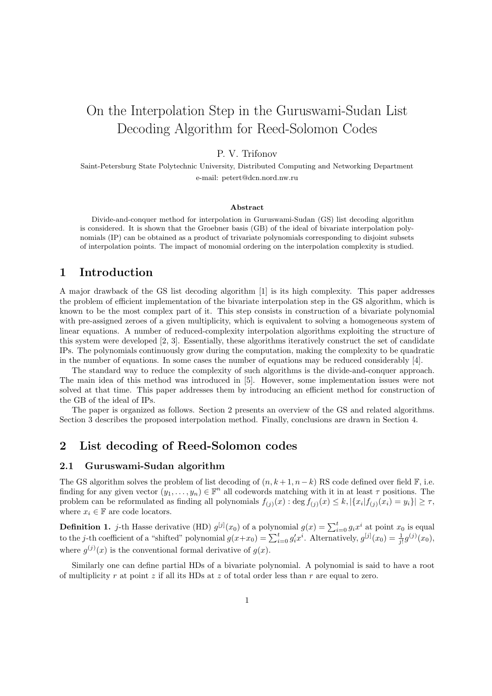# On the Interpolation Step in the Guruswami-Sudan List Decoding Algorithm for Reed-Solomon Codes

## P. V. Trifonov

Saint-Petersburg State Polytechnic University, Distributed Computing and Networking Department e-mail: petert@dcn.nord.nw.ru

#### Abstract

Divide-and-conquer method for interpolation in Guruswami-Sudan (GS) list decoding algorithm is considered. It is shown that the Groebner basis (GB) of the ideal of bivariate interpolation polynomials (IP) can be obtained as a product of trivariate polynomials corresponding to disjoint subsets of interpolation points. The impact of monomial ordering on the interpolation complexity is studied.

## 1 Introduction

A major drawback of the GS list decoding algorithm [1] is its high complexity. This paper addresses the problem of efficient implementation of the bivariate interpolation step in the GS algorithm, which is known to be the most complex part of it. This step consists in construction of a bivariate polynomial with pre-assigned zeroes of a given multiplicity, which is equivalent to solving a homogeneous system of linear equations. A number of reduced-complexity interpolation algorithms exploiting the structure of this system were developed [2, 3]. Essentially, these algorithms iteratively construct the set of candidate IPs. The polynomials continuously grow during the computation, making the complexity to be quadratic in the number of equations. In some cases the number of equations may be reduced considerably [4].

The standard way to reduce the complexity of such algorithms is the divide-and-conquer approach. The main idea of this method was introduced in [5]. However, some implementation issues were not solved at that time. This paper addresses them by introducing an efficient method for construction of the GB of the ideal of IPs.

The paper is organized as follows. Section 2 presents an overview of the GS and related algorithms. Section 3 describes the proposed interpolation method. Finally, conclusions are drawn in Section 4.

## 2 List decoding of Reed-Solomon codes

#### 2.1 Guruswami-Sudan algorithm

The GS algorithm solves the problem of list decoding of  $(n, k+1, n-k)$  RS code defined over field F, i.e. finding for any given vector  $(y_1, \ldots, y_n) \in \mathbb{F}^n$  all codewords matching with it in at least  $\tau$  positions. The problem can be reformulated as finding all polynomials  $f_{(j)}(x)$  : deg  $f_{(j)}(x) \leq k$ ,  $|\{x_i | f_{(j)}(x_i) = y_i\}| \geq \tau$ , where  $x_i \in \mathbb{F}$  are code locators.

**Definition 1.** *j*-th Hasse derivative (HD)  $g^{[j]}(x_0)$  of a polynomial  $g(x) = \sum_{i=0}^{t} g_i x^i$  at point  $x_0$  is equal to the *j*-th coefficient of a "shifted" polynomial  $g(x+x_0) = \sum_{i=0}^{t} g'_i x^i$ . Alternatively,  $g^{[j]}($ where  $g^{(j)}(x)$  is the conventional formal derivative of  $g(x)$ .

Similarly one can define partial HDs of a bivariate polynomial. A polynomial is said to have a root of multiplicity r at point z if all its HDs at z of total order less than r are equal to zero.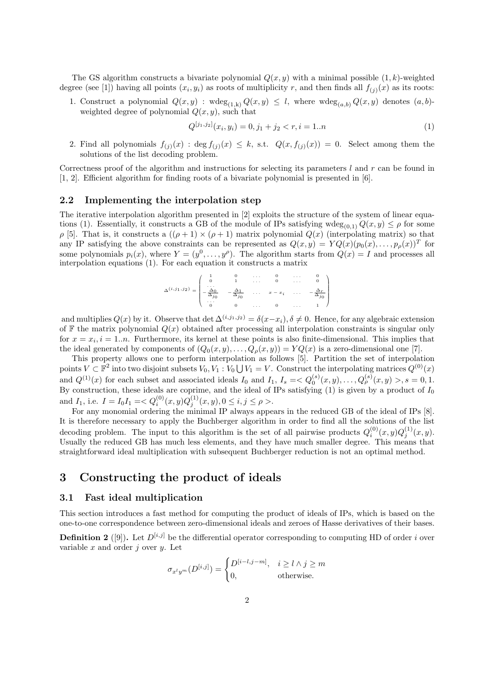The GS algorithm constructs a bivariate polynomial  $Q(x, y)$  with a minimal possible  $(1, k)$ -weighted degree (see [1]) having all points  $(x_i, y_i)$  as roots of multiplicity r, and then finds all  $f_{(j)}(x)$  as its roots:

1. Construct a polynomial  $Q(x, y)$ :  $wdeg_{(1,k)} Q(x, y) \leq l$ , where  $wdeg_{(a,b)} Q(x, y)$  denotes  $(a, b)$ weighted degree of polynomial  $Q(x, y)$ , such that

$$
Q^{[j_1,j_2]}(x_i, y_i) = 0, j_1 + j_2 < r, i = 1..n \tag{1}
$$

2. Find all polynomials  $f_{(j)}(x)$ : deg  $f_{(j)}(x) \leq k$ , s.t.  $Q(x, f_{(j)}(x)) = 0$ . Select among them the solutions of the list decoding problem.

Correctness proof of the algorithm and instructions for selecting its parameters  $l$  and  $r$  can be found in [1, 2]. Efficient algorithm for finding roots of a bivariate polynomial is presented in [6].

#### 2.2 Implementing the interpolation step

The iterative interpolation algorithm presented in [2] exploits the structure of the system of linear equations (1). Essentially, it constructs a GB of the module of IPs satisfying  $wdeg_{(0,1)} Q(x, y) \leq \rho$  for some  $\rho$  [5]. That is, it constructs a  $((\rho + 1) \times (\rho + 1)$  matrix polynomial  $Q(x)$  (interpolating matrix) so that any IP satisfying the above constraints can be represented as  $Q(x, y) = YQ(x)(p_0(x), \ldots, p_\rho(x))^T$  for some polynomials  $p_i(x)$ , where  $Y = (y^0, \ldots, y^\rho)$ . The algorithm starts from  $Q(x) = I$  and processes all interpolation equations (1). For each equation it constructs a matrix

$$
\Delta^{(i,j_1,j_2)} = \begin{pmatrix} 1 & 0 & \cdots & 0 & \cdots & 0 \\ 0 & 1 & \cdots & 0 & \cdots & 0 \\ -\frac{\Delta_0}{\Delta_{j_0}} & -\frac{\Delta_1}{\Delta_{j_0}} & \cdots & x - x_i & \cdots & -\frac{\Delta_r}{\Delta_{j_0}} \\ \vdots & \vdots & \vdots & \ddots & \vdots & \vdots \\ 0 & 0 & \cdots & 0 & \cdots & 1 \end{pmatrix}
$$

and multiplies  $Q(x)$  by it. Observe that det  $\Delta^{(i,j_1,j_2)} = \delta(x-x_i), \delta \neq 0$ . Hence, for any algebraic extension of F the matrix polynomial  $Q(x)$  obtained after processing all interpolation constraints is singular only for  $x = x_i$ ,  $i = 1..n$ . Furthermore, its kernel at these points is also finite-dimensional. This implies that the ideal generated by components of  $(Q_0(x, y), \ldots, Q_\rho(x, y)) = YQ(x)$  is a zero-dimensional one [7].

This property allows one to perform interpolation as follows [5]. Partition the set of interpolation This property allows one to perform interpolation as follows [3]. Partition the set of interpolation points  $V \subset \mathbb{F}^2$  into two disjoint subsets  $V_0, V_1 : V_0 \bigcup V_1 = V$ . Construct the interpolating matrices  $Q^{(0)}(x)$ and  $Q^{(1)}(x)$  for each subset and associated ideals  $I_0$  and  $I_1$ ,  $I_s = < Q_0^{(s)}(x, y), \ldots, Q_\rho^{(s)}(x, y) > 0, s = 0, 1$ . By construction, these ideals are coprime, and the ideal of IPs satisfying  $(1)$  is given by a product of  $I_0$ and  $I_1$ , i.e.  $I = I_0 I_1 = \langle Q_i^{(0)}(x, y) Q_j^{(1)}(x, y), 0 \le i, j \le \rho \rangle$ .

For any monomial ordering the minimal IP always appears in the reduced GB of the ideal of IPs [8]. It is therefore necessary to apply the Buchberger algorithm in order to find all the solutions of the list decoding problem. The input to this algorithm is the set of all pairwise products  $Q_i^{(0)}(x,y)Q_j^{(1)}(x,y)$ . Usually the reduced GB has much less elements, and they have much smaller degree. This means that straightforward ideal multiplication with subsequent Buchberger reduction is not an optimal method.

## 3 Constructing the product of ideals

### 3.1 Fast ideal multiplication

This section introduces a fast method for computing the product of ideals of IPs, which is based on the one-to-one correspondence between zero-dimensional ideals and zeroes of Hasse derivatives of their bases.

**Definition 2** ([9]). Let  $D^{[i,j]}$  be the differential operator corresponding to computing HD of order i over variable  $x$  and order  $j$  over  $y$ . Let

$$
\sigma_{x^l y^m}(D^{[i,j]}) = \begin{cases} D^{[i-l,j-m]}, & i \ge l \wedge j \ge m \\ 0, & \text{otherwise.} \end{cases}
$$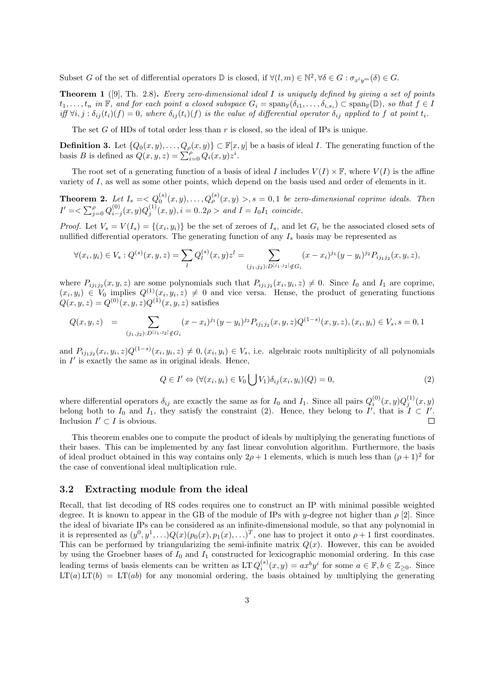Subset G of the set of differential operators  $\mathbb D$  is closed, if  $\forall (l,m) \in \mathbb N^2, \forall \delta \in G : \sigma_{x^l y^m}(\delta) \in G$ .

Theorem 1 ([9], Th. 2.8). Every zero-dimensional ideal I is uniquely defined by giving a set of points  $t_1,\ldots,t_n$  in  $\mathbb F$ , and for each point a closed subspace  $G_i = \text{span}_{\mathbb F}(\delta_{i1},\ldots,\delta_{i,s_i}) \subset \text{span}_{\mathbb F}(\mathbb D)$ , so that  $f \in I$ iff  $\forall i, j : \delta_{ij}(t_i)(f) = 0$ , where  $\delta_{ij}(t_i)(f)$  is the value of differential operator  $\delta_{ij}$  applied to f at point  $t_i$ .

The set G of HDs of total order less than  $r$  is closed, so the ideal of IPs is unique.

**Definition 3.** Let  $\{Q_0(x, y), \ldots, Q_\rho(x, y)\} \subset \mathbb{F}[x, y]$  be a basis of ideal *I*. The generating function of the basis *B* is defined as  $Q(x, y, z) = \sum_{i=0}^\rho Q_i(x, y)z^i$ .

The root set of a generating function of a basis of ideal I includes  $V(I) \times \mathbb{F}$ , where  $V(I)$  is the affine variety of I, as well as some other points, which depend on the basis used and order of elements in it.

**Theorem 2.** Let  $I_s = \langle Q_0^{(s)}(x, y), \ldots, Q_p^{(s)}(x, y) \rangle$ ,  $s = 0, 1$  be zero-dimensional coprime ideals. Then  $I' = \sum_{j=0}^{\rho} Q_{i-j}^{(0)}(x, y) Q_j^{(1)}(x, y), i = 0..2\rho > \text{ and } I = I_0 I_1 \text{ coincide.}$ 

*Proof.* Let  $V_s = V(I_s) = \{(x_i, y_i)\}\$ be the set of zeroes of  $I_s$ , and let  $G_i$  be the associated closed sets of nullified differential operators. The generating function of any  $I_s$  basis may be represented as

$$
\forall (x_i, y_i) \in V_s : Q^{(s)}(x, y, z) = \sum_l Q^{(s)}_l(x, y) z^l = \sum_{(j_1, j_2) : D^{[j_1, j_2]} \notin G_i} (x - x_i)^{j_1} (y - y_i)^{j_2} P_{ij_1 j_2}(x, y, z),
$$

where  $P_{ij_1j_2}(x,y,z)$  are some polynomials such that  $P_{ij_1j_2}(x_i,y_i,z) \neq 0$ . Since  $I_0$  and  $I_1$  are coprime,  $(x_i, y_i) \in V_0$  implies  $Q^{(1)}(x_i, y_i, z) \neq 0$  and vice versa. Hense, the product of generating functions  $Q(x, y, z) = Q^{(0)}(x, y, z)Q^{(1)}(x, y, z)$  satisfies

$$
Q(x, y, z) = \sum_{(j_1, j_2): D^{[j_1, j_2]} \notin G_i} (x - x_i)^{j_1} (y - y_i)^{j_2} P_{ij_1 j_2}(x, y, z) Q^{(1-s)}(x, y, z), (x_i, y_i) \in V_s, s = 0, 1
$$

and  $P_{ij_1j_2}(x_i,y_i,z)Q^{(1-s)}(x_i,y_i,z) \neq 0, (x_i,y_i) \in V_s$ , i.e. algebraic roots multiplicity of all polynomials in  $I'$  is exactly the same as in original ideals. Hence,

$$
Q \in I' \Leftrightarrow (\forall (x_i, y_i) \in V_0 \bigcup V_1) \delta_{ij}(x_i, y_i)(Q) = 0,
$$
\n(2)

where differential operators  $\delta_{ij}$  are exactly the same as for  $I_0$  and  $I_1$ . Since all pairs  $Q_i^{(0)}(x,y)Q_j^{(1)}(x,y)$ belong both to  $I_0$  and  $I_1$ , they satisfy the constraint (2). Hence, they belong to  $I'$ , that is  $I \subset I'$ . Inclusion  $I' \subset I$  is obvious.

This theorem enables one to compute the product of ideals by multiplying the generating functions of their bases. This can be implemented by any fast linear convolution algorithm. Furthermore, the basis of ideal product obtained in this way contains only  $2\rho + 1$  elements, which is much less than  $(\rho + 1)^2$  for the case of conventional ideal multiplication rule.

#### 3.2 Extracting module from the ideal

Recall, that list decoding of RS codes requires one to construct an IP with minimal possible weighted degree. It is known to appear in the GB of the module of IPs with y-degree not higher than  $\rho$  [2]. Since the ideal of bivariate IPs can be considered as an infinite-dimensional module, so that any polynomial in it is represented as  $(y^0, y^1, \ldots) Q(x)(p_0(x), p_1(x), \ldots)^T$ , one has to project it onto  $\rho + 1$  first coordinates. This can be performed by triangularizing the semi-infinite matrix  $Q(x)$ . However, this can be avoided by using the Groebner bases of  $I_0$  and  $I_1$  constructed for lexicographic monomial ordering. In this case leading terms of basis elements can be written as LT  $Q_i^{(s)}(x,y) = ax^b y^i$  for some  $a \in \mathbb{F}, b \in \mathbb{Z}_{\geq 0}$ . Since  $LT(a)LT(b) = LT(ab)$  for any monomial ordering, the basis obtained by multiplying the generating